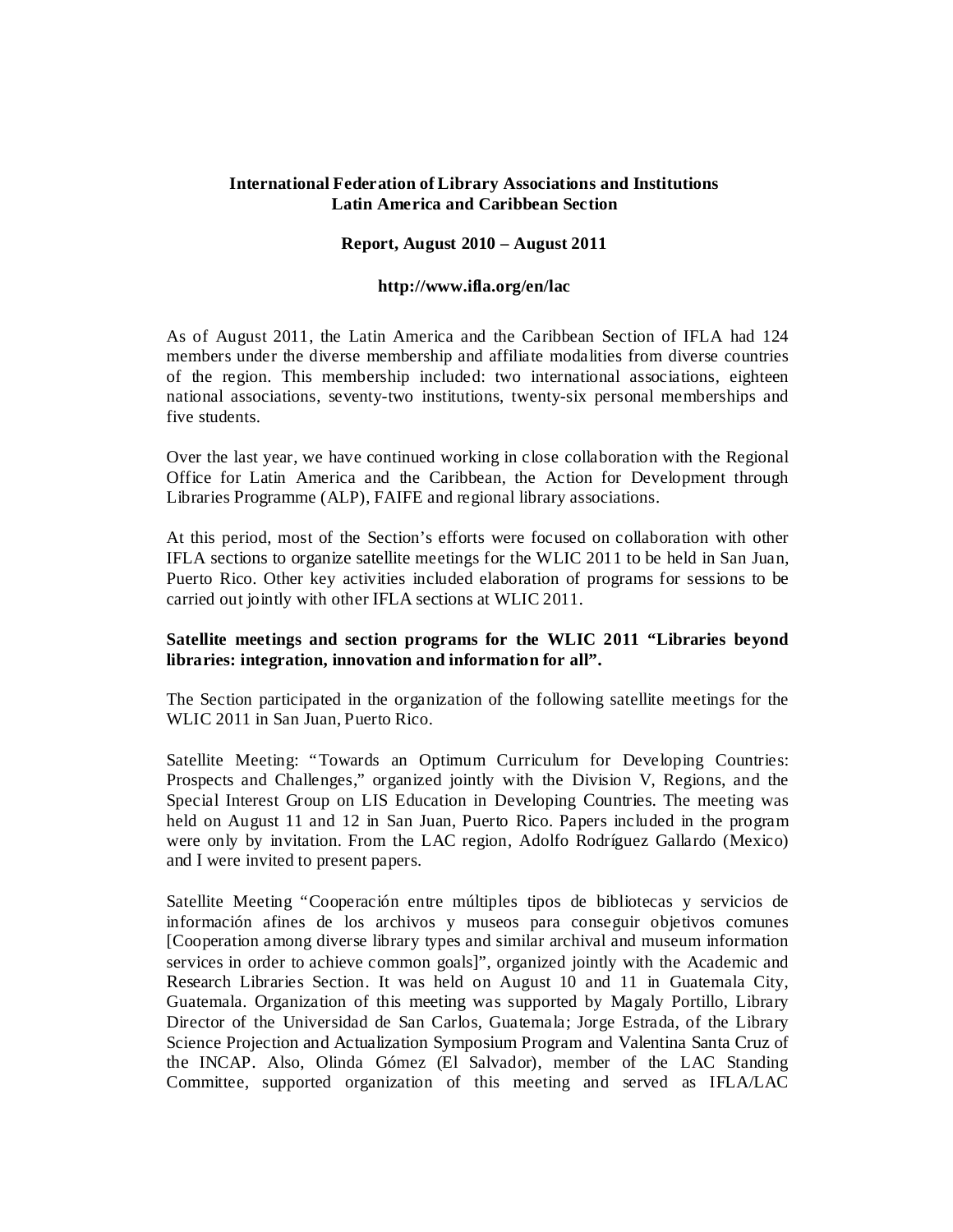# **International Federation of Library Associations and Institutions Latin America and Caribbean Section**

## **Report, August 2010 – August 2011**

#### **http://www.ifla.org/en/lac**

As of August 2011, the Latin America and the Caribbean Section of IFLA had 124 members under the diverse membership and affiliate modalities from diverse countries of the region. This membership included: two international associations, eighteen national associations, seventy-two institutions, twenty-six personal memberships and five students.

Over the last year, we have continued working in close collaboration with the Regional Office for Latin America and the Caribbean, the Action for Development through Libraries Programme (ALP), FAIFE and regional library associations.

At this period, most of the Section's efforts were focused on collaboration with other IFLA sections to organize satellite meetings for the WLIC 2011 to be held in San Juan, Puerto Rico. Other key activities included elaboration of programs for sessions to be carried out jointly with other IFLA sections at WLIC 2011.

# **Satellite meetings and section programs for the WLIC 2011 "Libraries beyond libraries: integration, innovation and information for all".**

The Section participated in the organization of the following satellite meetings for the WLIC 2011 in San Juan, Puerto Rico.

Satellite Meeting: "Towards an Optimum Curriculum for Developing Countries: Prospects and Challenges," organized jointly with the Division V, Regions, and the Special Interest Group on LIS Education in Developing Countries. The meeting was held on August 11 and 12 in San Juan, Puerto Rico. Papers included in the program were only by invitation. From the LAC region, Adolfo Rodríguez Gallardo (Mexico) and I were invited to present papers.

Satellite Meeting "Cooperación entre múltiples tipos de bibliotecas y servicios de información afines de los archivos y museos para conseguir objetivos comunes [Cooperation among diverse library types and similar archival and museum information services in order to achieve common goals]", organized jointly with the Academic and Research Libraries Section. It was held on August 10 and 11 in Guatemala City, Guatemala. Organization of this meeting was supported by Magaly Portillo, Library Director of the Universidad de San Carlos, Guatemala; Jorge Estrada, of the Library Science Projection and Actualization Symposium Program and Valentina Santa Cruz of the INCAP. Also, Olinda Gómez (El Salvador), member of the LAC Standing Committee, supported organization of this meeting and served as IFLA/LAC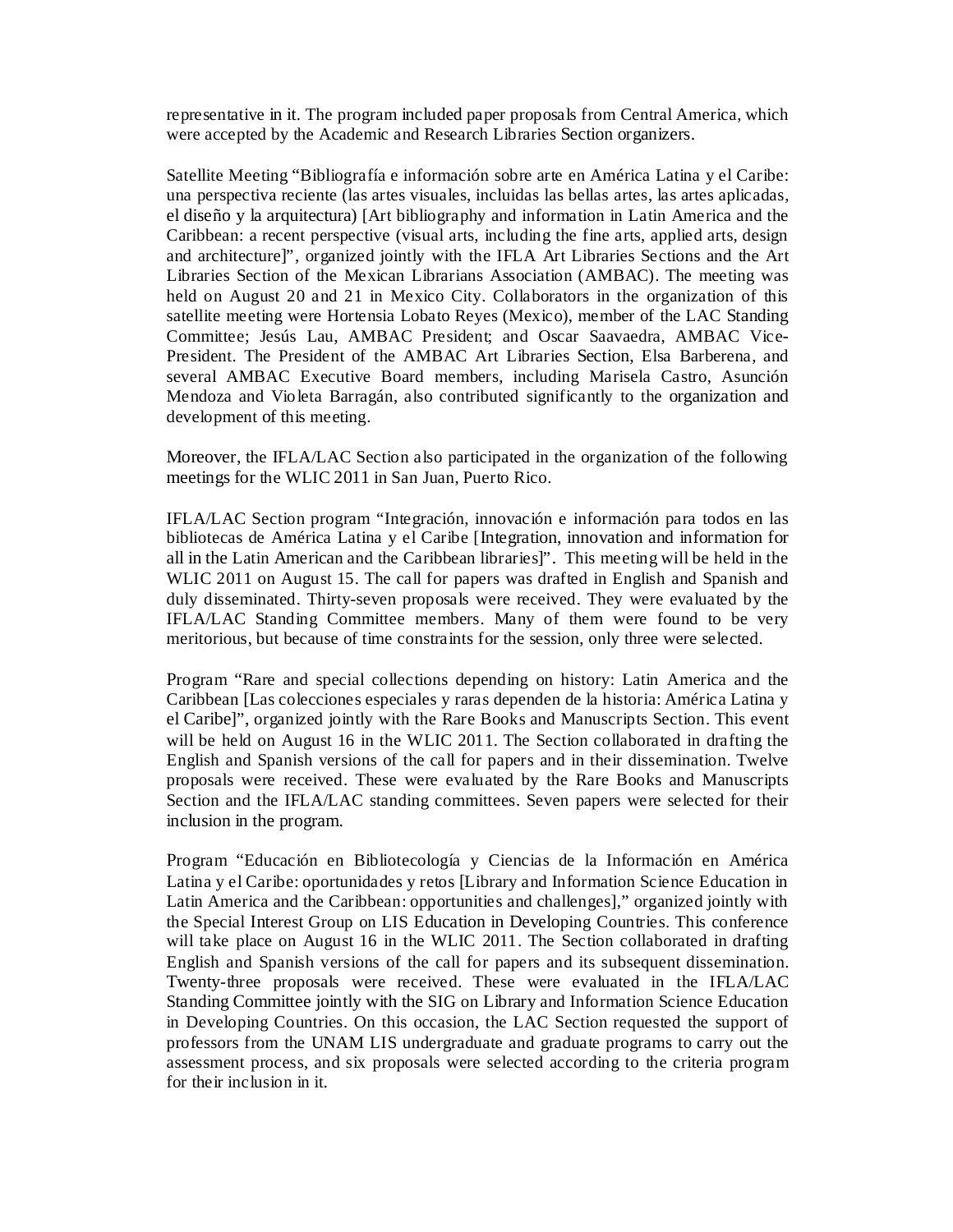representative in it. The program included paper proposals from Central America, which were accepted by the Academic and Research Libraries Section organizers.

Satellite Meeting "Bibliografía e información sobre arte en América Latina y el Caribe: una perspectiva reciente (las artes visuales, incluidas las bellas artes, las artes aplicadas, el diseño y la arquitectura) [Art bibliography and information in Latin America and the Caribbean: a recent perspective (visual arts, including the fine arts, applied arts, design and architecture]", organized jointly with the IFLA Art Libraries Sections and the Art Libraries Section of the Mexican Librarians Association (AMBAC). The meeting was held on August 20 and 21 in Mexico City. Collaborators in the organization of this satellite meeting were Hortensia Lobato Reyes (Mexico), member of the LAC Standing Committee; Jesús Lau, AMBAC President; and Oscar Saavaedra, AMBAC Vice-President. The President of the AMBAC Art Libraries Section, Elsa Barberena, and several AMBAC Executive Board members, including Marisela Castro, Asunción Mendoza and Violeta Barragán, also contributed significantly to the organization and development of this meeting.

Moreover, the IFLA/LAC Section also participated in the organization of the following meetings for the WLIC 2011 in San Juan, Puerto Rico.

IFLA/LAC Section program "Integración, innovación e información para todos en las bibliotecas de América Latina y el Caribe [Integration, innovation and information for all in the Latin American and the Caribbean libraries]". This meeting will be held in the WLIC 2011 on August 15. The call for papers was drafted in English and Spanish and duly disseminated. Thirty-seven proposals were received. They were evaluated by the IFLA/LAC Standing Committee members. Many of them were found to be very meritorious, but because of time constraints for the session, only three were selected.

Program "Rare and special collections depending on history: Latin America and the Caribbean [Las colecciones especiales y raras dependen de la historia: América Latina y el Caribe]", organized jointly with the Rare Books and Manuscripts Section. This event will be held on August 16 in the WLIC 2011. The Section collaborated in drafting the English and Spanish versions of the call for papers and in their dissemination. Twelve proposals were received. These were evaluated by the Rare Books and Manuscripts Section and the IFLA/LAC standing committees. Seven papers were selected for their inclusion in the program.

Program "Educación en Bibliotecología y Ciencias de la Información en América Latina y el Caribe: oportunidades y retos [Library and Information Science Education in Latin America and the Caribbean: opportunities and challenges]," organized jointly with the Special Interest Group on LIS Education in Developing Countries. This conference will take place on August 16 in the WLIC 2011. The Section collaborated in drafting English and Spanish versions of the call for papers and its subsequent dissemination. Twenty-three proposals were received. These were evaluated in the IFLA/LAC Standing Committee jointly with the SIG on Library and Information Science Education in Developing Countries. On this occasion, the LAC Section requested the support of professors from the UNAM LIS undergraduate and graduate programs to carry out the assessment process, and six proposals were selected according to the criteria program for their inclusion in it.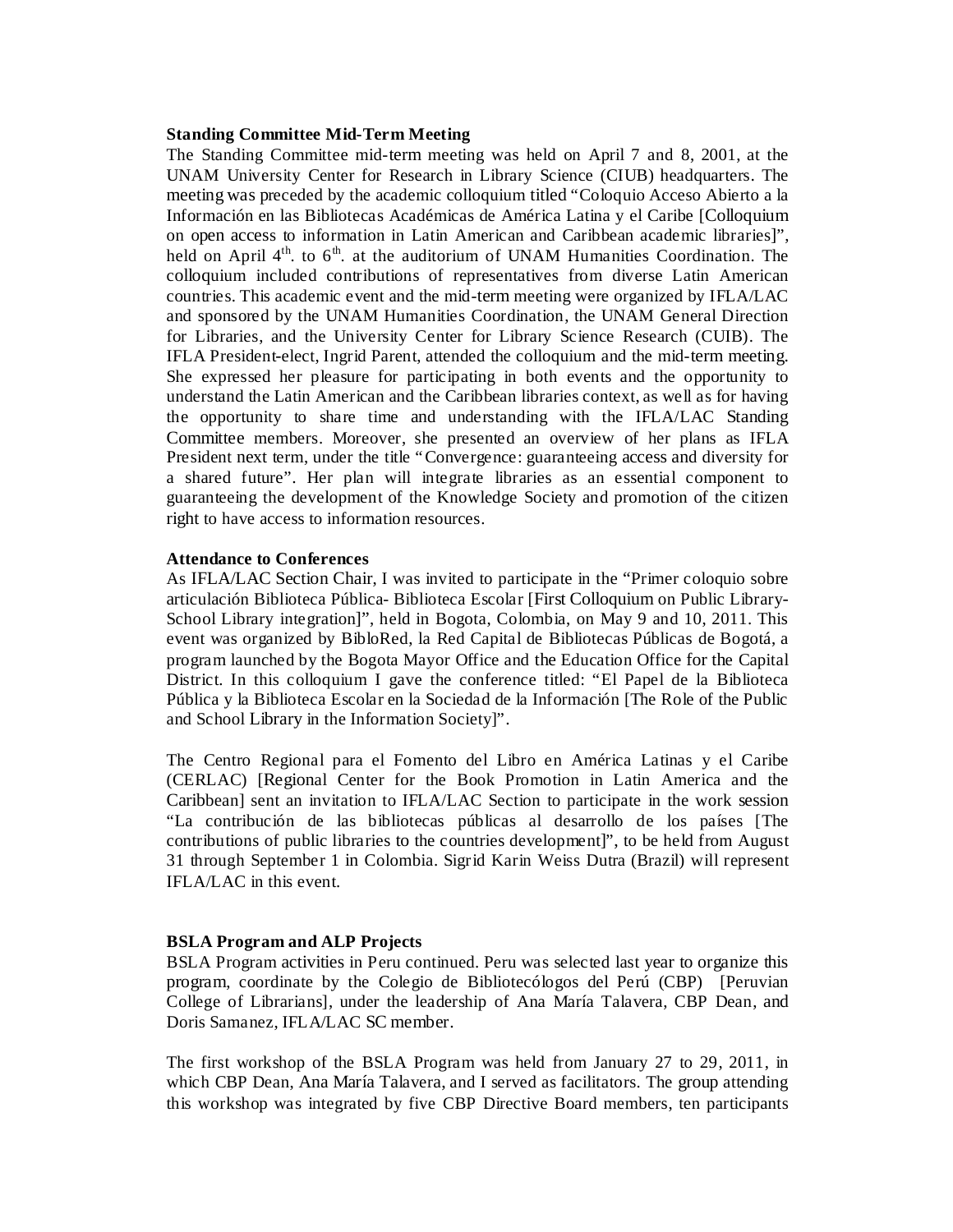#### **Standing Committee Mid-Term Meeting**

The Standing Committee mid-term meeting was held on April 7 and 8, 2001, at the UNAM University Center for Research in Library Science (CIUB) headquarters. The meeting was preceded by the academic colloquium titled "Coloquio Acceso Abierto a la Información en las Bibliotecas Académicas de América Latina y el Caribe [Colloquium on open access to information in Latin American and Caribbean academic libraries]", held on April  $4<sup>th</sup>$ . to  $6<sup>th</sup>$  at the auditorium of UNAM Humanities Coordination. The colloquium included contributions of representatives from diverse Latin American countries. This academic event and the mid-term meeting were organized by IFLA/LAC and sponsored by the UNAM Humanities Coordination, the UNAM General Direction for Libraries, and the University Center for Library Science Research (CUIB). The IFLA President-elect, Ingrid Parent, attended the colloquium and the mid-term meeting. She expressed her pleasure for participating in both events and the opportunity to understand the Latin American and the Caribbean libraries context, as well as for having the opportunity to share time and understanding with the IFLA/LAC Standing Committee members. Moreover, she presented an overview of her plans as IFLA President next term, under the title "Convergence: guaranteeing access and diversity for a shared future". Her plan will integrate libraries as an essential component to guaranteeing the development of the Knowledge Society and promotion of the citizen right to have access to information resources.

#### **Attendance to Conferences**

As IFLA/LAC Section Chair, I was invited to participate in the "Primer coloquio sobre articulación Biblioteca Pública- Biblioteca Escolar [First Colloquium on Public Library-School Library integration]", held in Bogota, Colombia, on May 9 and 10, 2011. This event was organized by BibloRed, la Red Capital de Bibliotecas Públicas de Bogotá, a program launched by the Bogota Mayor Office and the Education Office for the Capital District. In this colloquium I gave the conference titled: "El Papel de la Biblioteca Pública y la Biblioteca Escolar en la Sociedad de la Información [The Role of the Public and School Library in the Information Society]".

The Centro Regional para el Fomento del Libro en América Latinas y el Caribe (CERLAC) [Regional Center for the Book Promotion in Latin America and the Caribbean] sent an invitation to IFLA/LAC Section to participate in the work session "La contribución de las bibliotecas públicas al desarrollo de los países [The contributions of public libraries to the countries development]", to be held from August 31 through September 1 in Colombia. Sigrid Karin Weiss Dutra (Brazil) will represent IFLA/LAC in this event.

## **BSLA Program and ALP Projects**

BSLA Program activities in Peru continued. Peru was selected last year to organize this program, coordinate by the Colegio de Bibliotecólogos del Perú (CBP) [Peruvian College of Librarians], under the leadership of Ana María Talavera, CBP Dean, and Doris Samanez, IFLA/LAC SC member.

The first workshop of the BSLA Program was held from January 27 to 29, 2011, in which CBP Dean, Ana María Talavera, and I served as facilitators. The group attending this workshop was integrated by five CBP Directive Board members, ten participants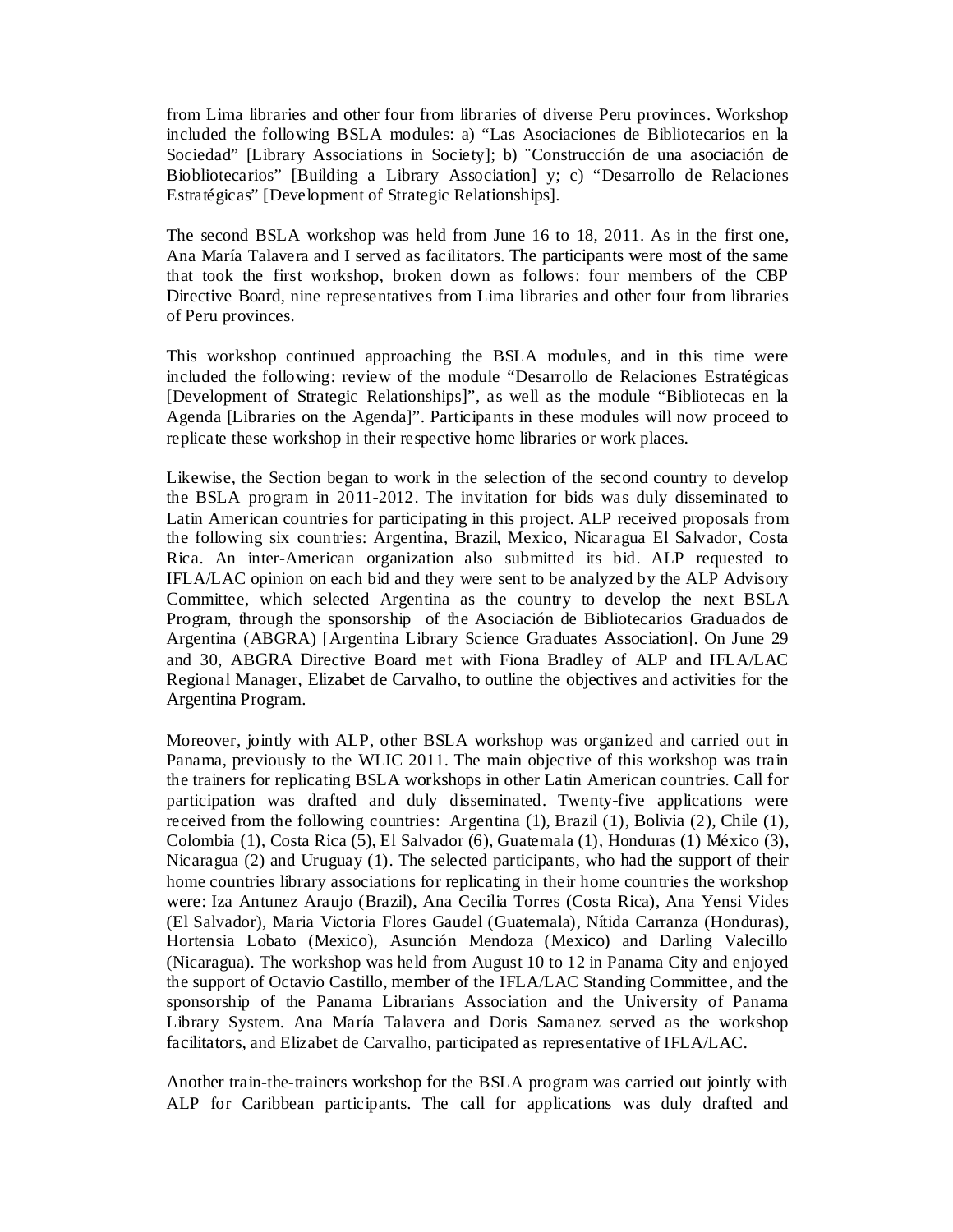from Lima libraries and other four from libraries of diverse Peru provinces. Workshop included the following BSLA modules: a) "Las Asociaciones de Bibliotecarios en la Sociedad" [Library Associations in Society]; b) ¨Construcción de una asociación de Biobliotecarios" [Building a Library Association] y; c) "Desarrollo de Relaciones Estratégicas" [Development of Strategic Relationships].

The second BSLA workshop was held from June 16 to 18, 2011. As in the first one, Ana María Talavera and I served as facilitators. The participants were most of the same that took the first workshop, broken down as follows: four members of the CBP Directive Board, nine representatives from Lima libraries and other four from libraries of Peru provinces.

This workshop continued approaching the BSLA modules, and in this time were included the following: review of the module "Desarrollo de Relaciones Estratégicas [Development of Strategic Relationships]", as well as the module "Bibliotecas en la Agenda [Libraries on the Agenda]". Participants in these modules will now proceed to replicate these workshop in their respective home libraries or work places.

Likewise, the Section began to work in the selection of the second country to develop the BSLA program in 2011-2012. The invitation for bids was duly disseminated to Latin American countries for participating in this project. ALP received proposals from the following six countries: Argentina, Brazil, Mexico, Nicaragua El Salvador, Costa Rica. An inter-American organization also submitted its bid. ALP requested to IFLA/LAC opinion on each bid and they were sent to be analyzed by the ALP Advisory Committee, which selected Argentina as the country to develop the next BSLA Program, through the sponsorship of the Asociación de Bibliotecarios Graduados de Argentina (ABGRA) [Argentina Library Science Graduates Association]. On June 29 and 30, ABGRA Directive Board met with Fiona Bradley of ALP and IFLA/LAC Regional Manager, Elizabet de Carvalho, to outline the objectives and activities for the Argentina Program.

Moreover, jointly with ALP, other BSLA workshop was organized and carried out in Panama, previously to the WLIC 2011. The main objective of this workshop was train the trainers for replicating BSLA workshops in other Latin American countries. Call for participation was drafted and duly disseminated. Twenty-five applications were received from the following countries: Argentina (1), Brazil (1), Bolivia (2), Chile (1), Colombia (1), Costa Rica (5), El Salvador (6), Guatemala (1), Honduras (1) México (3), Nicaragua (2) and Uruguay (1). The selected participants, who had the support of their home countries library associations for replicating in their home countries the workshop were: Iza Antunez Araujo (Brazil), Ana Cecilia Torres (Costa Rica), Ana Yensi Vides (El Salvador), Maria Victoria Flores Gaudel (Guatemala), Nítida Carranza (Honduras), Hortensia Lobato (Mexico), Asunción Mendoza (Mexico) and Darling Valecillo (Nicaragua). The workshop was held from August 10 to 12 in Panama City and enjoyed the support of Octavio Castillo, member of the IFLA/LAC Standing Committee, and the sponsorship of the Panama Librarians Association and the University of Panama Library System. Ana María Talavera and Doris Samanez served as the workshop facilitators, and Elizabet de Carvalho, participated as representative of IFLA/LAC.

Another train-the-trainers workshop for the BSLA program was carried out jointly with ALP for Caribbean participants. The call for applications was duly drafted and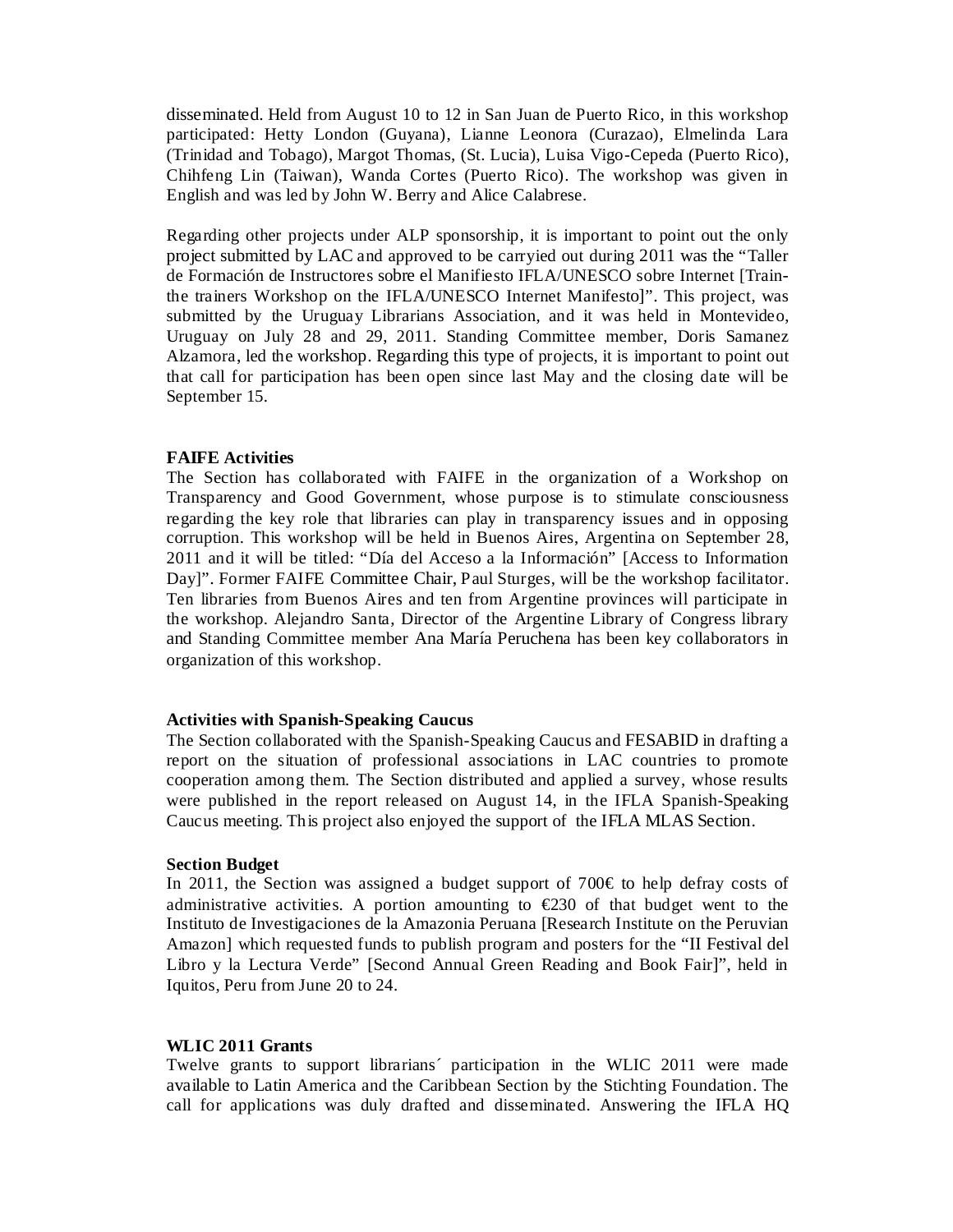disseminated. Held from August 10 to 12 in San Juan de Puerto Rico, in this workshop participated: Hetty London (Guyana), Lianne Leonora (Curazao), Elmelinda Lara (Trinidad and Tobago), Margot Thomas, (St. Lucia), Luisa Vigo-Cepeda (Puerto Rico), Chihfeng Lin (Taiwan), Wanda Cortes (Puerto Rico). The workshop was given in English and was led by John W. Berry and Alice Calabrese.

Regarding other projects under ALP sponsorship, it is important to point out the only project submitted by LAC and approved to be carryied out during 2011 was the "Taller de Formación de Instructores sobre el Manifiesto IFLA/UNESCO sobre Internet [Trainthe trainers Workshop on the IFLA/UNESCO Internet Manifesto]". This project, was submitted by the Uruguay Librarians Association, and it was held in Montevideo, Uruguay on July 28 and 29, 2011. Standing Committee member, Doris Samanez Alzamora, led the workshop. Regarding this type of projects, it is important to point out that call for participation has been open since last May and the closing date will be September 15.

## **FAIFE Activities**

The Section has collaborated with FAIFE in the organization of a Workshop on Transparency and Good Government, whose purpose is to stimulate consciousness regarding the key role that libraries can play in transparency issues and in opposing corruption. This workshop will be held in Buenos Aires, Argentina on September 28, 2011 and it will be titled: "Día del Acceso a la Información" [Access to Information Day]". Former FAIFE Committee Chair, Paul Sturges, will be the workshop facilitator. Ten libraries from Buenos Aires and ten from Argentine provinces will participate in the workshop. Alejandro Santa, Director of the Argentine Library of Congress library and Standing Committee member Ana María Peruchena has been key collaborators in organization of this workshop.

# **Activities with Spanish-Speaking Caucus**

The Section collaborated with the Spanish-Speaking Caucus and FESABID in drafting a report on the situation of professional associations in LAC countries to promote cooperation among them. The Section distributed and applied a survey, whose results were published in the report released on August 14, in the IFLA Spanish-Speaking Caucus meeting. This project also enjoyed the support of the IFLA MLAS Section.

## **Section Budget**

In 2011, the Section was assigned a budget support of 700 $\in$  to help defray costs of administrative activities. A portion amounting to  $\epsilon$ 230 of that budget went to the Instituto de Investigaciones de la Amazonia Peruana [Research Institute on the Peruvian Amazon] which requested funds to publish program and posters for the "II Festival del Libro y la Lectura Verde" [Second Annual Green Reading and Book Fair]", held in Iquitos, Peru from June 20 to 24.

#### **WLIC 2011 Grants**

Twelve grants to support librarians´ participation in the WLIC 2011 were made available to Latin America and the Caribbean Section by the Stichting Foundation. The call for applications was duly drafted and disseminated. Answering the IFLA HQ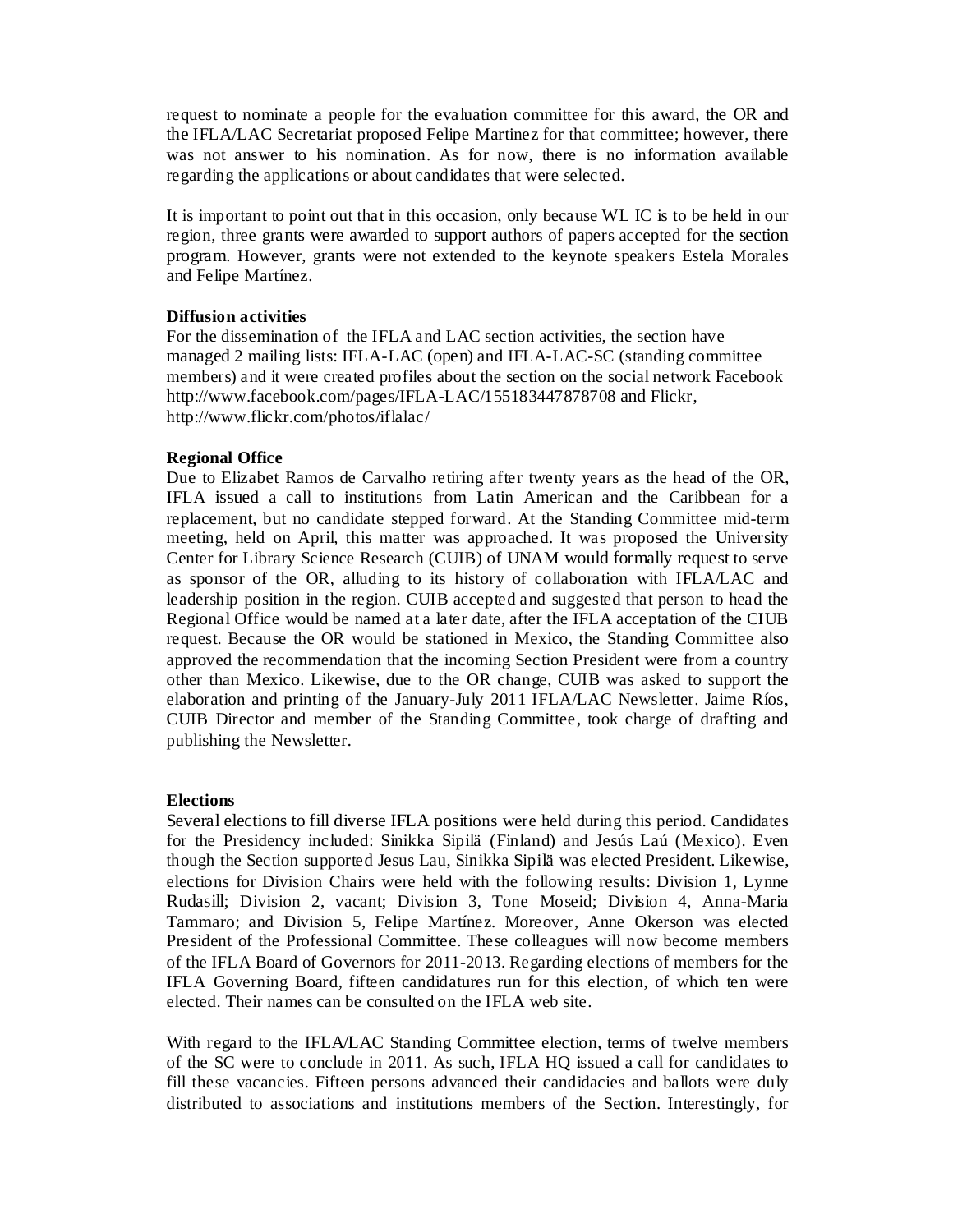request to nominate a people for the evaluation committee for this award, the OR and the IFLA/LAC Secretariat proposed Felipe Martinez for that committee; however, there was not answer to his nomination. As for now, there is no information available regarding the applications or about candidates that were selected.

It is important to point out that in this occasion, only because WL IC is to be held in our region, three grants were awarded to support authors of papers accepted for the section program. However, grants were not extended to the keynote speakers Estela Morales and Felipe Martínez.

# **Diffusion activities**

For the dissemination of the IFLA and LAC section activities, the section have managed 2 mailing lists: IFLA-LAC (open) and IFLA-LAC-SC (standing committee members) and it were created profiles about the section on the social network Facebook http://www.facebook.com/pages/IFLA-LAC/155183447878708 and Flickr, http://www.flickr.com/photos/iflalac/

# **Regional Office**

Due to Elizabet Ramos de Carvalho retiring after twenty years as the head of the OR, IFLA issued a call to institutions from Latin American and the Caribbean for a replacement, but no candidate stepped forward. At the Standing Committee mid-term meeting, held on April, this matter was approached. It was proposed the University Center for Library Science Research (CUIB) of UNAM would formally request to serve as sponsor of the OR, alluding to its history of collaboration with IFLA/LAC and leadership position in the region. CUIB accepted and suggested that person to head the Regional Office would be named at a later date, after the IFLA acceptation of the CIUB request. Because the OR would be stationed in Mexico, the Standing Committee also approved the recommendation that the incoming Section President were from a country other than Mexico. Likewise, due to the OR change, CUIB was asked to support the elaboration and printing of the January-July 2011 IFLA/LAC Newsletter. Jaime Ríos, CUIB Director and member of the Standing Committee, took charge of drafting and publishing the Newsletter.

# **Elections**

Several elections to fill diverse IFLA positions were held during this period. Candidates for the Presidency included: Sinikka Sipilä (Finland) and Jesús Laú (Mexico). Even though the Section supported Jesus Lau, Sinikka Sipilä was elected President. Likewise, elections for Division Chairs were held with the following results: Division 1, Lynne Rudasill; Division 2, vacant; Division 3, Tone Moseid; Division 4, Anna-Maria Tammaro; and Division 5, Felipe Martínez. Moreover, Anne Okerson was elected President of the Professional Committee. These colleagues will now become members of the IFLA Board of Governors for 2011-2013. Regarding elections of members for the IFLA Governing Board, fifteen candidatures run for this election, of which ten were elected. Their names can be consulted on the IFLA web site.

With regard to the IFLA/LAC Standing Committee election, terms of twelve members of the SC were to conclude in 2011. As such, IFLA HQ issued a call for candidates to fill these vacancies. Fifteen persons advanced their candidacies and ballots were duly distributed to associations and institutions members of the Section. Interestingly, for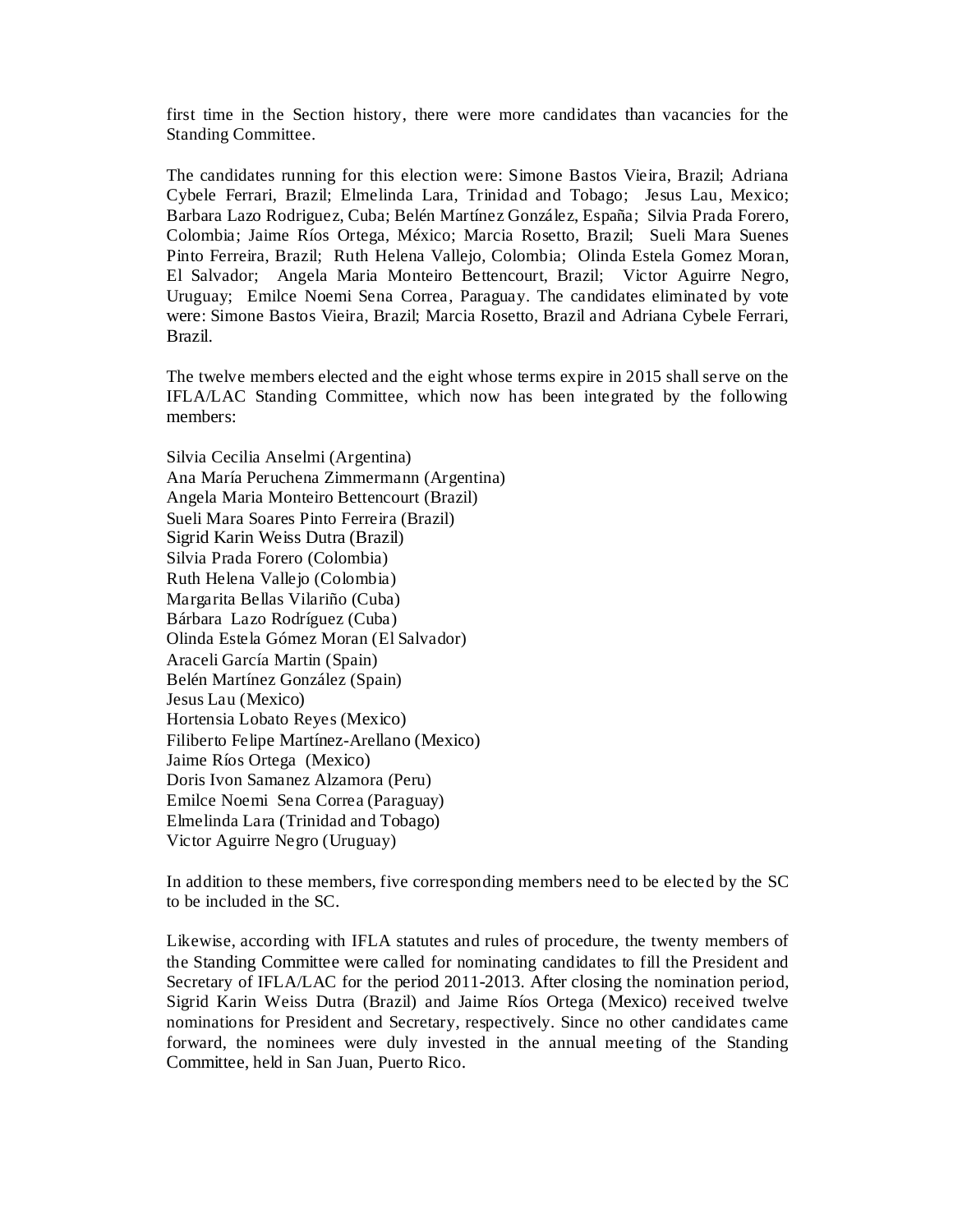first time in the Section history, there were more candidates than vacancies for the Standing Committee.

The candidates running for this election were: Simone Bastos Vieira, Brazil; Adriana Cybele Ferrari, Brazil; Elmelinda Lara, Trinidad and Tobago; Jesus Lau, Mexico; Barbara Lazo Rodriguez, Cuba; Belén Martínez González, España; Silvia Prada Forero, Colombia; Jaime Ríos Ortega, México; Marcia Rosetto, Brazil; Sueli Mara Suenes Pinto Ferreira, Brazil; Ruth Helena Vallejo, Colombia; Olinda Estela Gomez Moran, El Salvador; Angela Maria Monteiro Bettencourt, Brazil; Victor Aguirre Negro, Uruguay; Emilce Noemi Sena Correa, Paraguay. The candidates eliminated by vote were: Simone Bastos Vieira, Brazil; Marcia Rosetto, Brazil and Adriana Cybele Ferrari, Brazil.

The twelve members elected and the eight whose terms expire in 2015 shall serve on the IFLA/LAC Standing Committee, which now has been integrated by the following members:

Silvia Cecilia Anselmi (Argentina) Ana María Peruchena Zimmermann (Argentina) Angela Maria Monteiro Bettencourt (Brazil) Sueli Mara Soares Pinto Ferreira (Brazil) Sigrid Karin Weiss Dutra (Brazil) Silvia Prada Forero (Colombia) Ruth Helena Vallejo (Colombia) Margarita Bellas Vilariño (Cuba) Bárbara Lazo Rodríguez (Cuba) Olinda Estela Gómez Moran (El Salvador) Araceli García Martin (Spain) Belén Martínez González (Spain) Jesus Lau (Mexico) Hortensia Lobato Reyes (Mexico) Filiberto Felipe Martínez-Arellano (Mexico) Jaime Ríos Ortega (Mexico) Doris Ivon Samanez Alzamora (Peru) Emilce Noemi Sena Correa (Paraguay) Elmelinda Lara (Trinidad and Tobago) Victor Aguirre Negro (Uruguay)

In addition to these members, five corresponding members need to be elected by the SC to be included in the SC.

Likewise, according with IFLA statutes and rules of procedure, the twenty members of the Standing Committee were called for nominating candidates to fill the President and Secretary of IFLA/LAC for the period 2011-2013. After closing the nomination period, Sigrid Karin Weiss Dutra (Brazil) and Jaime Ríos Ortega (Mexico) received twelve nominations for President and Secretary, respectively. Since no other candidates came forward, the nominees were duly invested in the annual meeting of the Standing Committee, held in San Juan, Puerto Rico.